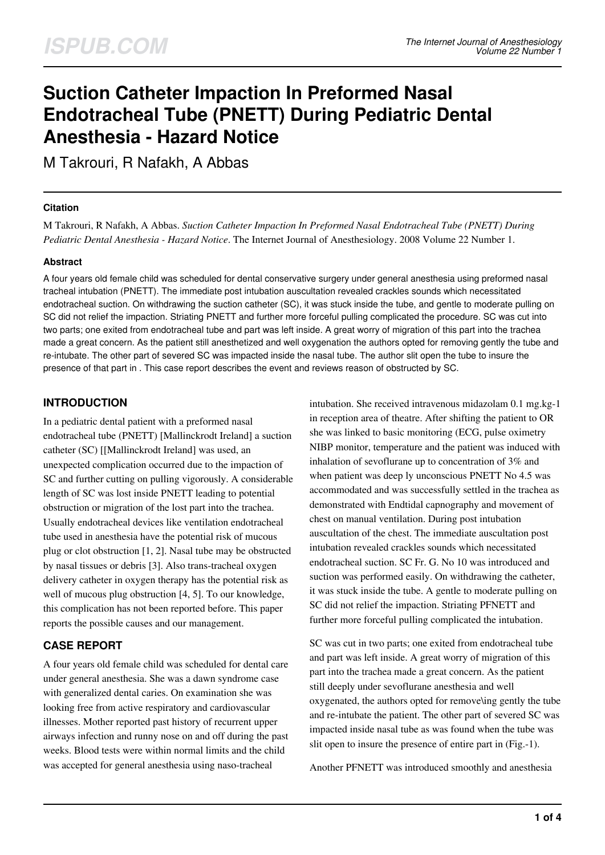# **Suction Catheter Impaction In Preformed Nasal Endotracheal Tube (PNETT) During Pediatric Dental Anesthesia - Hazard Notice**

M Takrouri, R Nafakh, A Abbas

#### **Citation**

M Takrouri, R Nafakh, A Abbas. *Suction Catheter Impaction In Preformed Nasal Endotracheal Tube (PNETT) During Pediatric Dental Anesthesia - Hazard Notice*. The Internet Journal of Anesthesiology. 2008 Volume 22 Number 1.

#### **Abstract**

A four years old female child was scheduled for dental conservative surgery under general anesthesia using preformed nasal tracheal intubation (PNETT). The immediate post intubation auscultation revealed crackles sounds which necessitated endotracheal suction. On withdrawing the suction catheter (SC), it was stuck inside the tube, and gentle to moderate pulling on SC did not relief the impaction. Striating PNETT and further more forceful pulling complicated the procedure. SC was cut into two parts; one exited from endotracheal tube and part was left inside. A great worry of migration of this part into the trachea made a great concern. As the patient still anesthetized and well oxygenation the authors opted for removing gently the tube and re-intubate. The other part of severed SC was impacted inside the nasal tube. The author slit open the tube to insure the presence of that part in . This case report describes the event and reviews reason of obstructed by SC.

## **INTRODUCTION**

In a pediatric dental patient with a preformed nasal endotracheal tube (PNETT) [Mallinckrodt Ireland] a suction catheter (SC) [[Mallinckrodt Ireland] was used, an unexpected complication occurred due to the impaction of SC and further cutting on pulling vigorously. A considerable length of SC was lost inside PNETT leading to potential obstruction or migration of the lost part into the trachea. Usually endotracheal devices like ventilation endotracheal tube used in anesthesia have the potential risk of mucous plug or clot obstruction [1, 2]. Nasal tube may be obstructed by nasal tissues or debris [3]. Also trans-tracheal oxygen delivery catheter in oxygen therapy has the potential risk as well of mucous plug obstruction [4, 5]. To our knowledge, this complication has not been reported before. This paper reports the possible causes and our management.

## **CASE REPORT**

A four years old female child was scheduled for dental care under general anesthesia. She was a dawn syndrome case with generalized dental caries. On examination she was looking free from active respiratory and cardiovascular illnesses. Mother reported past history of recurrent upper airways infection and runny nose on and off during the past weeks. Blood tests were within normal limits and the child was accepted for general anesthesia using naso-tracheal

intubation. She received intravenous midazolam 0.1 mg.kg-1 in reception area of theatre. After shifting the patient to OR she was linked to basic monitoring (ECG, pulse oximetry NIBP monitor, temperature and the patient was induced with inhalation of sevoflurane up to concentration of 3% and when patient was deep ly unconscious PNETT No 4.5 was accommodated and was successfully settled in the trachea as demonstrated with Endtidal capnography and movement of chest on manual ventilation. During post intubation auscultation of the chest. The immediate auscultation post intubation revealed crackles sounds which necessitated endotracheal suction. SC Fr. G. No 10 was introduced and suction was performed easily. On withdrawing the catheter, it was stuck inside the tube. A gentle to moderate pulling on SC did not relief the impaction. Striating PFNETT and further more forceful pulling complicated the intubation.

SC was cut in two parts; one exited from endotracheal tube and part was left inside. A great worry of migration of this part into the trachea made a great concern. As the patient still deeply under sevoflurane anesthesia and well oxygenated, the authors opted for remove\ing gently the tube and re-intubate the patient. The other part of severed SC was impacted inside nasal tube as was found when the tube was slit open to insure the presence of entire part in (Fig.-1).

Another PFNETT was introduced smoothly and anesthesia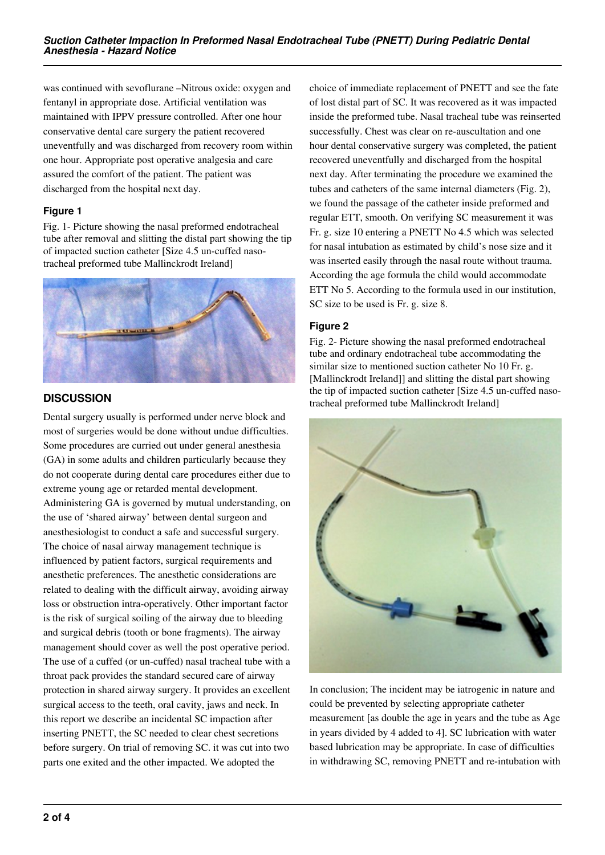was continued with sevoflurane –Nitrous oxide: oxygen and fentanyl in appropriate dose. Artificial ventilation was maintained with IPPV pressure controlled. After one hour conservative dental care surgery the patient recovered uneventfully and was discharged from recovery room within one hour. Appropriate post operative analgesia and care assured the comfort of the patient. The patient was discharged from the hospital next day.

### **Figure 1**

Fig. 1- Picture showing the nasal preformed endotracheal tube after removal and slitting the distal part showing the tip of impacted suction catheter [Size 4.5 un-cuffed nasotracheal preformed tube Mallinckrodt Ireland]



# **DISCUSSION**

Dental surgery usually is performed under nerve block and most of surgeries would be done without undue difficulties. Some procedures are curried out under general anesthesia (GA) in some adults and children particularly because they do not cooperate during dental care procedures either due to extreme young age or retarded mental development. Administering GA is governed by mutual understanding, on the use of 'shared airway' between dental surgeon and anesthesiologist to conduct a safe and successful surgery. The choice of nasal airway management technique is influenced by patient factors, surgical requirements and anesthetic preferences. The anesthetic considerations are related to dealing with the difficult airway, avoiding airway loss or obstruction intra-operatively. Other important factor is the risk of surgical soiling of the airway due to bleeding and surgical debris (tooth or bone fragments). The airway management should cover as well the post operative period. The use of a cuffed (or un-cuffed) nasal tracheal tube with a throat pack provides the standard secured care of airway protection in shared airway surgery. It provides an excellent surgical access to the teeth, oral cavity, jaws and neck. In this report we describe an incidental SC impaction after inserting PNETT, the SC needed to clear chest secretions before surgery. On trial of removing SC. it was cut into two parts one exited and the other impacted. We adopted the

choice of immediate replacement of PNETT and see the fate of lost distal part of SC. It was recovered as it was impacted inside the preformed tube. Nasal tracheal tube was reinserted successfully. Chest was clear on re-auscultation and one hour dental conservative surgery was completed, the patient recovered uneventfully and discharged from the hospital next day. After terminating the procedure we examined the tubes and catheters of the same internal diameters (Fig. 2), we found the passage of the catheter inside preformed and regular ETT, smooth. On verifying SC measurement it was Fr. g. size 10 entering a PNETT No 4.5 which was selected for nasal intubation as estimated by child's nose size and it was inserted easily through the nasal route without trauma. According the age formula the child would accommodate ETT No 5. According to the formula used in our institution, SC size to be used is Fr. g. size 8.

## **Figure 2**

Fig. 2- Picture showing the nasal preformed endotracheal tube and ordinary endotracheal tube accommodating the similar size to mentioned suction catheter No 10 Fr. g. [Mallinckrodt Ireland]] and slitting the distal part showing the tip of impacted suction catheter [Size 4.5 un-cuffed nasotracheal preformed tube Mallinckrodt Ireland]



In conclusion; The incident may be iatrogenic in nature and could be prevented by selecting appropriate catheter measurement [as double the age in years and the tube as Age in years divided by 4 added to 4]. SC lubrication with water based lubrication may be appropriate. In case of difficulties in withdrawing SC, removing PNETT and re-intubation with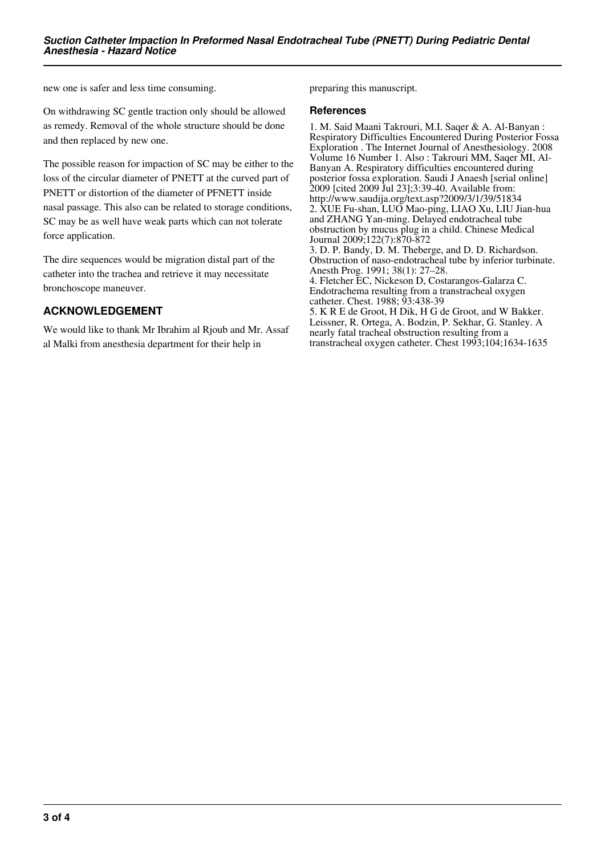new one is safer and less time consuming.

On withdrawing SC gentle traction only should be allowed as remedy. Removal of the whole structure should be done and then replaced by new one.

The possible reason for impaction of SC may be either to the loss of the circular diameter of PNETT at the curved part of PNETT or distortion of the diameter of PFNETT inside nasal passage. This also can be related to storage conditions, SC may be as well have weak parts which can not tolerate force application.

The dire sequences would be migration distal part of the catheter into the trachea and retrieve it may necessitate bronchoscope maneuver.

## **ACKNOWLEDGEMENT**

We would like to thank Mr Ibrahim al Rjoub and Mr. Assaf al Malki from anesthesia department for their help in

preparing this manuscript.

#### **References**

1. M. Said Maani Takrouri, M.I. Saqer & A. Al-Banyan : Respiratory Difficulties Encountered During Posterior Fossa Exploration . The Internet Journal of Anesthesiology. 2008 Volume 16 Number 1. Also : Takrouri MM, Saqer MI, Al-Banyan A. Respiratory difficulties encountered during posterior fossa exploration. Saudi J Anaesh [serial online] 2009 [cited 2009 Jul 23];3:39-40. Available from: http://www.saudija.org/text.asp?2009/3/1/39/51834 2. XUE Fu-shan, LUO Mao-ping, LIAO Xu, LIU Jian-hua and ZHANG Yan-ming. Delayed endotracheal tube obstruction by mucus plug in a child. Chinese Medical Journal 2009;122(7):870-872 3. D. P. Bandy, D. M. Theberge, and D. D. Richardson. Obstruction of naso-endotracheal tube by inferior turbinate. Anesth Prog. 1991; 38(1): 27–28. 4. Fletcher EC, Nickeson D, Costarangos-Galarza C. Endotrachema resulting from a transtracheal oxygen catheter. Chest. 1988; 93:438-39 5. K R E de Groot, H Dik, H G de Groot, and W Bakker.

Leissner, R. Ortega, A. Bodzin, P. Sekhar, G. Stanley. A nearly fatal tracheal obstruction resulting from a transtracheal oxygen catheter. Chest 1993;104;1634-1635